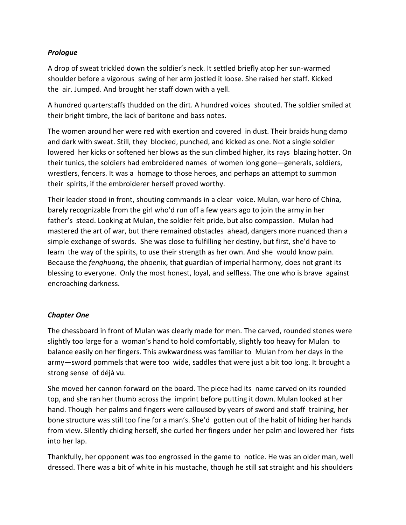## *Prologue*

A drop of sweat trickled down the soldier's neck. It settled briefly atop her sun-warmed shoulder before a vigorous swing of her arm jostled it loose. She raised her staff. Kicked the air. Jumped. And brought her staff down with a yell.

A hundred quarterstaffs thudded on the dirt. A hundred voices shouted. The soldier smiled at their bright timbre, the lack of baritone and bass notes.

The women around her were red with exertion and covered in dust. Their braids hung damp and dark with sweat. Still, they blocked, punched, and kicked as one. Not a single soldier lowered her kicks or softened her blows as the sun climbed higher, its rays blazing hotter. On their tunics, the soldiers had embroidered names of women long gone—generals, soldiers, wrestlers, fencers. It was a homage to those heroes, and perhaps an attempt to summon their spirits, if the embroiderer herself proved worthy.

Their leader stood in front, shouting commands in a clear voice. Mulan, war hero of China, barely recognizable from the girl who'd run off a few years ago to join the army in her father's stead. Looking at Mulan, the soldier felt pride, but also compassion. Mulan had mastered the art of war, but there remained obstacles ahead, dangers more nuanced than a simple exchange of swords. She was close to fulfilling her destiny, but first, she'd have to learn the way of the spirits, to use their strength as her own. And she would know pain. Because the *fenghuang*, the phoenix, that guardian of imperial harmony, does not grant its blessing to everyone. Only the most honest, loyal, and selfless. The one who is brave against encroaching darkness.

## *Chapter One*

The chessboard in front of Mulan was clearly made for men. The carved, rounded stones were slightly too large for a woman's hand to hold comfortably, slightly too heavy for Mulan to balance easily on her fingers. This awkwardness was familiar to Mulan from her days in the army—sword pommels that were too wide, saddles that were just a bit too long. It brought a strong sense of déjà vu.

She moved her cannon forward on the board. The piece had its name carved on its rounded top, and she ran her thumb across the imprint before putting it down. Mulan looked at her hand. Though her palms and fingers were calloused by years of sword and staff training, her bone structure was still too fine for a man's. She'd gotten out of the habit of hiding her hands from view. Silently chiding herself, she curled her fingers under her palm and lowered her fists into her lap.

Thankfully, her opponent was too engrossed in the game to notice. He was an older man, well dressed. There was a bit of white in his mustache, though he still sat straight and his shoulders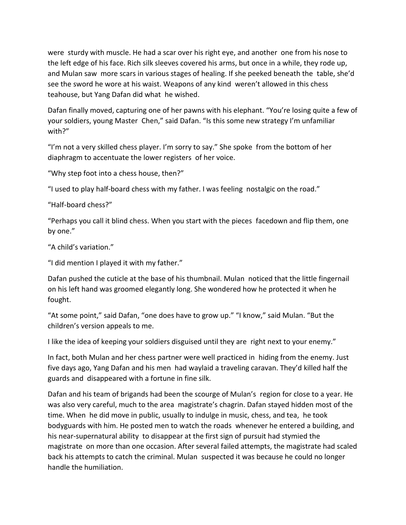were sturdy with muscle. He had a scar over his right eye, and another one from his nose to the left edge of his face. Rich silk sleeves covered his arms, but once in a while, they rode up, and Mulan saw more scars in various stages of healing. If she peeked beneath the table, she'd see the sword he wore at his waist. Weapons of any kind weren't allowed in this chess teahouse, but Yang Dafan did what he wished.

Dafan finally moved, capturing one of her pawns with his elephant. "You're losing quite a few of your soldiers, young Master Chen," said Dafan. "Is this some new strategy I'm unfamiliar with?"

"I'm not a very skilled chess player. I'm sorry to say." She spoke from the bottom of her diaphragm to accentuate the lower registers of her voice.

"Why step foot into a chess house, then?"

"I used to play half-board chess with my father. I was feeling nostalgic on the road."

"Half-board chess?"

"Perhaps you call it blind chess. When you start with the pieces facedown and flip them, one by one."

"A child's variation."

"I did mention I played it with my father."

Dafan pushed the cuticle at the base of his thumbnail. Mulan noticed that the little fingernail on his left hand was groomed elegantly long. She wondered how he protected it when he fought.

"At some point," said Dafan, "one does have to grow up." "I know," said Mulan. "But the children's version appeals to me.

I like the idea of keeping your soldiers disguised until they are right next to your enemy."

In fact, both Mulan and her chess partner were well practiced in hiding from the enemy. Just five days ago, Yang Dafan and his men had waylaid a traveling caravan. They'd killed half the guards and disappeared with a fortune in fine silk.

Dafan and his team of brigands had been the scourge of Mulan's region for close to a year. He was also very careful, much to the area magistrate's chagrin. Dafan stayed hidden most of the time. When he did move in public, usually to indulge in music, chess, and tea, he took bodyguards with him. He posted men to watch the roads whenever he entered a building, and his near-supernatural ability to disappear at the first sign of pursuit had stymied the magistrate on more than one occasion. After several failed attempts, the magistrate had scaled back his attempts to catch the criminal. Mulan suspected it was because he could no longer handle the humiliation.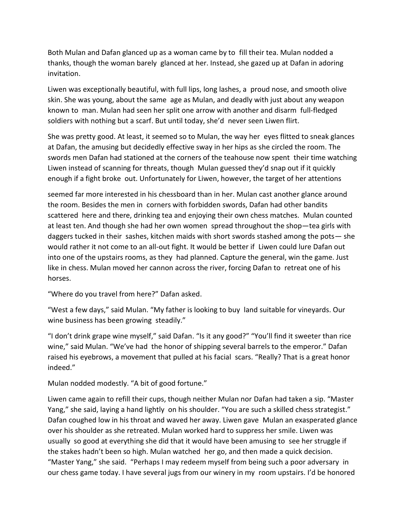Both Mulan and Dafan glanced up as a woman came by to fill their tea. Mulan nodded a thanks, though the woman barely glanced at her. Instead, she gazed up at Dafan in adoring invitation.

Liwen was exceptionally beautiful, with full lips, long lashes, a proud nose, and smooth olive skin. She was young, about the same age as Mulan, and deadly with just about any weapon known to man. Mulan had seen her split one arrow with another and disarm full-fledged soldiers with nothing but a scarf. But until today, she'd never seen Liwen flirt.

She was pretty good. At least, it seemed so to Mulan, the way her eyes flitted to sneak glances at Dafan, the amusing but decidedly effective sway in her hips as she circled the room. The swords men Dafan had stationed at the corners of the teahouse now spent their time watching Liwen instead of scanning for threats, though Mulan guessed they'd snap out if it quickly enough if a fight broke out. Unfortunately for Liwen, however, the target of her attentions

seemed far more interested in his chessboard than in her. Mulan cast another glance around the room. Besides the men in corners with forbidden swords, Dafan had other bandits scattered here and there, drinking tea and enjoying their own chess matches. Mulan counted at least ten. And though she had her own women spread throughout the shop—tea girls with daggers tucked in their sashes, kitchen maids with short swords stashed among the pots— she would rather it not come to an all-out fight. It would be better if Liwen could lure Dafan out into one of the upstairs rooms, as they had planned. Capture the general, win the game. Just like in chess. Mulan moved her cannon across the river, forcing Dafan to retreat one of his horses.

"Where do you travel from here?" Dafan asked.

"West a few days," said Mulan. "My father is looking to buy land suitable for vineyards. Our wine business has been growing steadily."

"I don't drink grape wine myself," said Dafan. "Is it any good?" "You'll find it sweeter than rice wine," said Mulan. "We've had the honor of shipping several barrels to the emperor." Dafan raised his eyebrows, a movement that pulled at his facial scars. "Really? That is a great honor indeed."

Mulan nodded modestly. "A bit of good fortune."

Liwen came again to refill their cups, though neither Mulan nor Dafan had taken a sip. "Master Yang," she said, laying a hand lightly on his shoulder. "You are such a skilled chess strategist." Dafan coughed low in his throat and waved her away. Liwen gave Mulan an exasperated glance over his shoulder as she retreated. Mulan worked hard to suppress her smile. Liwen was usually so good at everything she did that it would have been amusing to see her struggle if the stakes hadn't been so high. Mulan watched her go, and then made a quick decision. "Master Yang," she said. "Perhaps I may redeem myself from being such a poor adversary in our chess game today. I have several jugs from our winery in my room upstairs. I'd be honored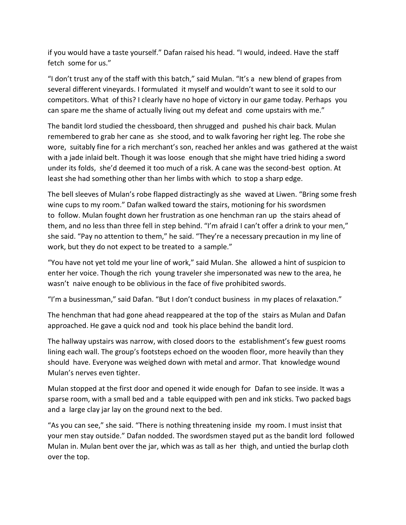if you would have a taste yourself." Dafan raised his head. "I would, indeed. Have the staff fetch some for us."

"I don't trust any of the staff with this batch," said Mulan. "It's a new blend of grapes from several different vineyards. I formulated it myself and wouldn't want to see it sold to our competitors. What of this? I clearly have no hope of victory in our game today. Perhaps you can spare me the shame of actually living out my defeat and come upstairs with me."

The bandit lord studied the chessboard, then shrugged and pushed his chair back. Mulan remembered to grab her cane as she stood, and to walk favoring her right leg. The robe she wore, suitably fine for a rich merchant's son, reached her ankles and was gathered at the waist with a jade inlaid belt. Though it was loose enough that she might have tried hiding a sword under its folds, she'd deemed it too much of a risk. A cane was the second-best option. At least she had something other than her limbs with which to stop a sharp edge.

The bell sleeves of Mulan's robe flapped distractingly as she waved at Liwen. "Bring some fresh wine cups to my room." Dafan walked toward the stairs, motioning for his swordsmen to follow. Mulan fought down her frustration as one henchman ran up the stairs ahead of them, and no less than three fell in step behind. "I'm afraid I can't offer a drink to your men," she said. "Pay no attention to them," he said. "They're a necessary precaution in my line of work, but they do not expect to be treated to a sample."

"You have not yet told me your line of work," said Mulan. She allowed a hint of suspicion to enter her voice. Though the rich young traveler she impersonated was new to the area, he wasn't naive enough to be oblivious in the face of five prohibited swords.

"I'm a businessman," said Dafan. "But I don't conduct business in my places of relaxation."

The henchman that had gone ahead reappeared at the top of the stairs as Mulan and Dafan approached. He gave a quick nod and took his place behind the bandit lord.

The hallway upstairs was narrow, with closed doors to the establishment's few guest rooms lining each wall. The group's footsteps echoed on the wooden floor, more heavily than they should have. Everyone was weighed down with metal and armor. That knowledge wound Mulan's nerves even tighter.

Mulan stopped at the first door and opened it wide enough for Dafan to see inside. It was a sparse room, with a small bed and a table equipped with pen and ink sticks. Two packed bags and a large clay jar lay on the ground next to the bed.

"As you can see," she said. "There is nothing threatening inside my room. I must insist that your men stay outside." Dafan nodded. The swordsmen stayed put as the bandit lord followed Mulan in. Mulan bent over the jar, which was as tall as her thigh, and untied the burlap cloth over the top.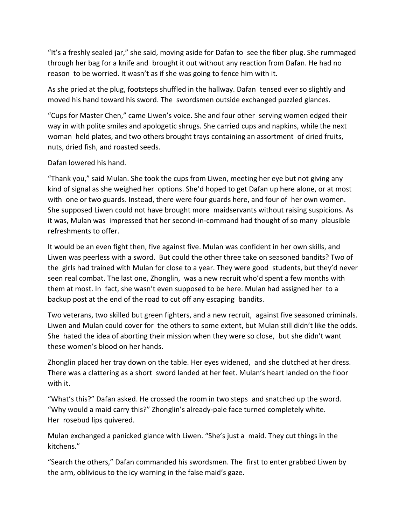"It's a freshly sealed jar," she said, moving aside for Dafan to see the fiber plug. She rummaged through her bag for a knife and brought it out without any reaction from Dafan. He had no reason to be worried. It wasn't as if she was going to fence him with it.

As she pried at the plug, footsteps shuffled in the hallway. Dafan tensed ever so slightly and moved his hand toward his sword. The swordsmen outside exchanged puzzled glances.

"Cups for Master Chen," came Liwen's voice. She and four other serving women edged their way in with polite smiles and apologetic shrugs. She carried cups and napkins, while the next woman held plates, and two others brought trays containing an assortment of dried fruits, nuts, dried fish, and roasted seeds.

## Dafan lowered his hand.

"Thank you," said Mulan. She took the cups from Liwen, meeting her eye but not giving any kind of signal as she weighed her options. She'd hoped to get Dafan up here alone, or at most with one or two guards. Instead, there were four guards here, and four of her own women. She supposed Liwen could not have brought more maidservants without raising suspicions. As it was, Mulan was impressed that her second-in-command had thought of so many plausible refreshments to offer.

It would be an even fight then, five against five. Mulan was confident in her own skills, and Liwen was peerless with a sword. But could the other three take on seasoned bandits? Two of the girls had trained with Mulan for close to a year. They were good students, but they'd never seen real combat. The last one, Zhonglin, was a new recruit who'd spent a few months with them at most. In fact, she wasn't even supposed to be here. Mulan had assigned her to a backup post at the end of the road to cut off any escaping bandits.

Two veterans, two skilled but green fighters, and a new recruit, against five seasoned criminals. Liwen and Mulan could cover for the others to some extent, but Mulan still didn't like the odds. She hated the idea of aborting their mission when they were so close, but she didn't want these women's blood on her hands.

Zhonglin placed her tray down on the table. Her eyes widened, and she clutched at her dress. There was a clattering as a short sword landed at her feet. Mulan's heart landed on the floor with it.

"What's this?" Dafan asked. He crossed the room in two steps and snatched up the sword. "Why would a maid carry this?" Zhonglin's already-pale face turned completely white. Her rosebud lips quivered.

Mulan exchanged a panicked glance with Liwen. "She's just a maid. They cut things in the kitchens."

"Search the others," Dafan commanded his swordsmen. The first to enter grabbed Liwen by the arm, oblivious to the icy warning in the false maid's gaze.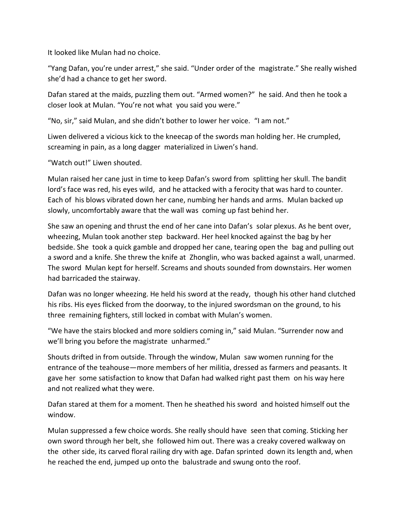It looked like Mulan had no choice.

"Yang Dafan, you're under arrest," she said. "Under order of the magistrate." She really wished she'd had a chance to get her sword.

Dafan stared at the maids, puzzling them out. "Armed women?" he said. And then he took a closer look at Mulan. "You're not what you said you were."

"No, sir," said Mulan, and she didn't bother to lower her voice. "I am not."

Liwen delivered a vicious kick to the kneecap of the swords man holding her. He crumpled, screaming in pain, as a long dagger materialized in Liwen's hand.

"Watch out!" Liwen shouted.

Mulan raised her cane just in time to keep Dafan's sword from splitting her skull. The bandit lord's face was red, his eyes wild, and he attacked with a ferocity that was hard to counter. Each of his blows vibrated down her cane, numbing her hands and arms. Mulan backed up slowly, uncomfortably aware that the wall was coming up fast behind her.

She saw an opening and thrust the end of her cane into Dafan's solar plexus. As he bent over, wheezing, Mulan took another step backward. Her heel knocked against the bag by her bedside. She took a quick gamble and dropped her cane, tearing open the bag and pulling out a sword and a knife. She threw the knife at Zhonglin, who was backed against a wall, unarmed. The sword Mulan kept for herself. Screams and shouts sounded from downstairs. Her women had barricaded the stairway.

Dafan was no longer wheezing. He held his sword at the ready, though his other hand clutched his ribs. His eyes flicked from the doorway, to the injured swordsman on the ground, to his three remaining fighters, still locked in combat with Mulan's women.

"We have the stairs blocked and more soldiers coming in," said Mulan. "Surrender now and we'll bring you before the magistrate unharmed."

Shouts drifted in from outside. Through the window, Mulan saw women running for the entrance of the teahouse—more members of her militia, dressed as farmers and peasants. It gave her some satisfaction to know that Dafan had walked right past them on his way here and not realized what they were.

Dafan stared at them for a moment. Then he sheathed his sword and hoisted himself out the window.

Mulan suppressed a few choice words. She really should have seen that coming. Sticking her own sword through her belt, she followed him out. There was a creaky covered walkway on the other side, its carved floral railing dry with age. Dafan sprinted down its length and, when he reached the end, jumped up onto the balustrade and swung onto the roof.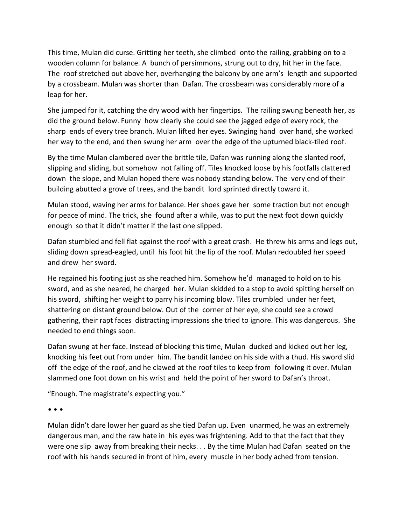This time, Mulan did curse. Gritting her teeth, she climbed onto the railing, grabbing on to a wooden column for balance. A bunch of persimmons, strung out to dry, hit her in the face. The roof stretched out above her, overhanging the balcony by one arm's length and supported by a crossbeam. Mulan was shorter than Dafan. The crossbeam was considerably more of a leap for her.

She jumped for it, catching the dry wood with her fingertips. The railing swung beneath her, as did the ground below. Funny how clearly she could see the jagged edge of every rock, the sharp ends of every tree branch. Mulan lifted her eyes. Swinging hand over hand, she worked her way to the end, and then swung her arm over the edge of the upturned black-tiled roof.

By the time Mulan clambered over the brittle tile, Dafan was running along the slanted roof, slipping and sliding, but somehow not falling off. Tiles knocked loose by his footfalls clattered down the slope, and Mulan hoped there was nobody standing below. The very end of their building abutted a grove of trees, and the bandit lord sprinted directly toward it.

Mulan stood, waving her arms for balance. Her shoes gave her some traction but not enough for peace of mind. The trick, she found after a while, was to put the next foot down quickly enough so that it didn't matter if the last one slipped.

Dafan stumbled and fell flat against the roof with a great crash. He threw his arms and legs out, sliding down spread-eagled, until his foot hit the lip of the roof. Mulan redoubled her speed and drew her sword.

He regained his footing just as she reached him. Somehow he'd managed to hold on to his sword, and as she neared, he charged her. Mulan skidded to a stop to avoid spitting herself on his sword, shifting her weight to parry his incoming blow. Tiles crumbled under her feet, shattering on distant ground below. Out of the corner of her eye, she could see a crowd gathering, their rapt faces distracting impressions she tried to ignore. This was dangerous. She needed to end things soon.

Dafan swung at her face. Instead of blocking this time, Mulan ducked and kicked out her leg, knocking his feet out from under him. The bandit landed on his side with a thud. His sword slid off the edge of the roof, and he clawed at the roof tiles to keep from following it over. Mulan slammed one foot down on his wrist and held the point of her sword to Dafan's throat.

"Enough. The magistrate's expecting you."

• • •

Mulan didn't dare lower her guard as she tied Dafan up. Even unarmed, he was an extremely dangerous man, and the raw hate in his eyes was frightening. Add to that the fact that they were one slip away from breaking their necks. . . By the time Mulan had Dafan seated on the roof with his hands secured in front of him, every muscle in her body ached from tension.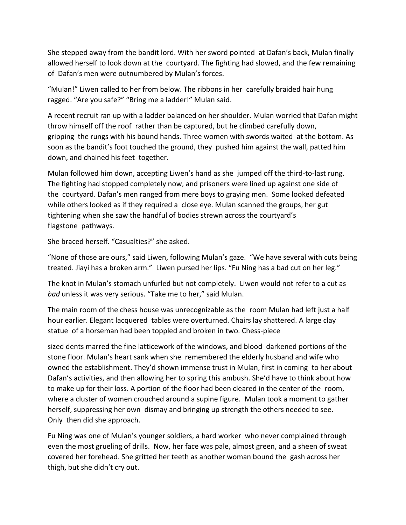She stepped away from the bandit lord. With her sword pointed at Dafan's back, Mulan finally allowed herself to look down at the courtyard. The fighting had slowed, and the few remaining of Dafan's men were outnumbered by Mulan's forces.

"Mulan!" Liwen called to her from below. The ribbons in her carefully braided hair hung ragged. "Are you safe?" "Bring me a ladder!" Mulan said.

A recent recruit ran up with a ladder balanced on her shoulder. Mulan worried that Dafan might throw himself off the roof rather than be captured, but he climbed carefully down, gripping the rungs with his bound hands. Three women with swords waited at the bottom. As soon as the bandit's foot touched the ground, they pushed him against the wall, patted him down, and chained his feet together.

Mulan followed him down, accepting Liwen's hand as she jumped off the third-to-last rung. The fighting had stopped completely now, and prisoners were lined up against one side of the courtyard. Dafan's men ranged from mere boys to graying men. Some looked defeated while others looked as if they required a close eye. Mulan scanned the groups, her gut tightening when she saw the handful of bodies strewn across the courtyard's flagstone pathways.

She braced herself. "Casualties?" she asked.

"None of those are ours," said Liwen, following Mulan's gaze. "We have several with cuts being treated. Jiayi has a broken arm." Liwen pursed her lips. "Fu Ning has a bad cut on her leg."

The knot in Mulan's stomach unfurled but not completely. Liwen would not refer to a cut as *bad* unless it was very serious. "Take me to her," said Mulan.

The main room of the chess house was unrecognizable as the room Mulan had left just a half hour earlier. Elegant lacquered tables were overturned. Chairs lay shattered. A large clay statue of a horseman had been toppled and broken in two. Chess-piece

sized dents marred the fine latticework of the windows, and blood darkened portions of the stone floor. Mulan's heart sank when she remembered the elderly husband and wife who owned the establishment. They'd shown immense trust in Mulan, first in coming to her about Dafan's activities, and then allowing her to spring this ambush. She'd have to think about how to make up for their loss. A portion of the floor had been cleared in the center of the room, where a cluster of women crouched around a supine figure. Mulan took a moment to gather herself, suppressing her own dismay and bringing up strength the others needed to see. Only then did she approach.

Fu Ning was one of Mulan's younger soldiers, a hard worker who never complained through even the most grueling of drills. Now, her face was pale, almost green, and a sheen of sweat covered her forehead. She gritted her teeth as another woman bound the gash across her thigh, but she didn't cry out.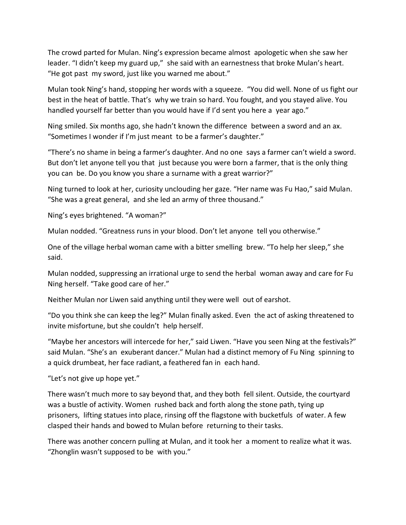The crowd parted for Mulan. Ning's expression became almost apologetic when she saw her leader. "I didn't keep my guard up," she said with an earnestness that broke Mulan's heart. "He got past my sword, just like you warned me about."

Mulan took Ning's hand, stopping her words with a squeeze. "You did well. None of us fight our best in the heat of battle. That's why we train so hard. You fought, and you stayed alive. You handled yourself far better than you would have if I'd sent you here a year ago."

Ning smiled. Six months ago, she hadn't known the difference between a sword and an ax. "Sometimes I wonder if I'm just meant to be a farmer's daughter."

"There's no shame in being a farmer's daughter. And no one says a farmer can't wield a sword. But don't let anyone tell you that just because you were born a farmer, that is the only thing you can be. Do you know you share a surname with a great warrior?"

Ning turned to look at her, curiosity unclouding her gaze. "Her name was Fu Hao," said Mulan. "She was a great general, and she led an army of three thousand."

Ning's eyes brightened. "A woman?"

Mulan nodded. "Greatness runs in your blood. Don't let anyone tell you otherwise."

One of the village herbal woman came with a bitter smelling brew. "To help her sleep," she said.

Mulan nodded, suppressing an irrational urge to send the herbal woman away and care for Fu Ning herself. "Take good care of her."

Neither Mulan nor Liwen said anything until they were well out of earshot.

"Do you think she can keep the leg?" Mulan finally asked. Even the act of asking threatened to invite misfortune, but she couldn't help herself.

"Maybe her ancestors will intercede for her," said Liwen. "Have you seen Ning at the festivals?" said Mulan. "She's an exuberant dancer." Mulan had a distinct memory of Fu Ning spinning to a quick drumbeat, her face radiant, a feathered fan in each hand.

"Let's not give up hope yet."

There wasn't much more to say beyond that, and they both fell silent. Outside, the courtyard was a bustle of activity. Women rushed back and forth along the stone path, tying up prisoners, lifting statues into place, rinsing off the flagstone with bucketfuls of water. A few clasped their hands and bowed to Mulan before returning to their tasks.

There was another concern pulling at Mulan, and it took her a moment to realize what it was. "Zhonglin wasn't supposed to be with you."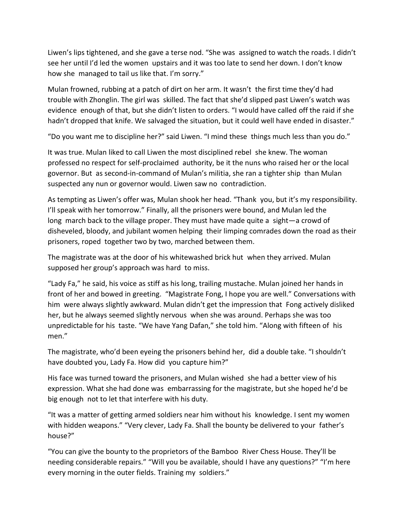Liwen's lips tightened, and she gave a terse nod. "She was assigned to watch the roads. I didn't see her until I'd led the women upstairs and it was too late to send her down. I don't know how she managed to tail us like that. I'm sorry."

Mulan frowned, rubbing at a patch of dirt on her arm. It wasn't the first time they'd had trouble with Zhonglin. The girl was skilled. The fact that she'd slipped past Liwen's watch was evidence enough of that, but she didn't listen to orders. "I would have called off the raid if she hadn't dropped that knife. We salvaged the situation, but it could well have ended in disaster."

"Do you want me to discipline her?" said Liwen. "I mind these things much less than you do."

It was true. Mulan liked to call Liwen the most disciplined rebel she knew. The woman professed no respect for self-proclaimed authority, be it the nuns who raised her or the local governor. But as second-in-command of Mulan's militia, she ran a tighter ship than Mulan suspected any nun or governor would. Liwen saw no contradiction.

As tempting as Liwen's offer was, Mulan shook her head. "Thank you, but it's my responsibility. I'll speak with her tomorrow." Finally, all the prisoners were bound, and Mulan led the long march back to the village proper. They must have made quite a sight—a crowd of disheveled, bloody, and jubilant women helping their limping comrades down the road as their prisoners, roped together two by two, marched between them.

The magistrate was at the door of his whitewashed brick hut when they arrived. Mulan supposed her group's approach was hard to miss.

"Lady Fa," he said, his voice as stiff as his long, trailing mustache. Mulan joined her hands in front of her and bowed in greeting. "Magistrate Fong, I hope you are well." Conversations with him were always slightly awkward. Mulan didn't get the impression that Fong actively disliked her, but he always seemed slightly nervous when she was around. Perhaps she was too unpredictable for his taste. "We have Yang Dafan," she told him. "Along with fifteen of his men."

The magistrate, who'd been eyeing the prisoners behind her, did a double take. "I shouldn't have doubted you, Lady Fa. How did you capture him?"

His face was turned toward the prisoners, and Mulan wished she had a better view of his expression. What she had done was embarrassing for the magistrate, but she hoped he'd be big enough not to let that interfere with his duty.

"It was a matter of getting armed soldiers near him without his knowledge. I sent my women with hidden weapons." "Very clever, Lady Fa. Shall the bounty be delivered to your father's house?"

"You can give the bounty to the proprietors of the Bamboo River Chess House. They'll be needing considerable repairs." "Will you be available, should I have any questions?" "I'm here every morning in the outer fields. Training my soldiers."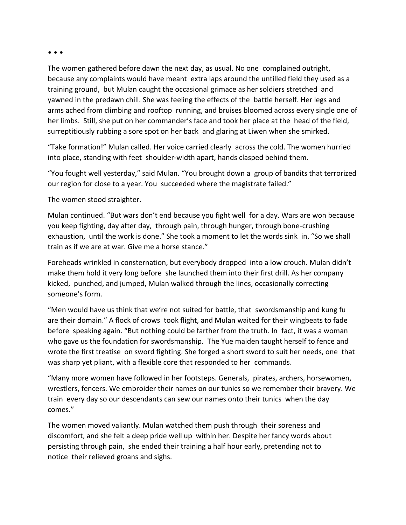• • •

The women gathered before dawn the next day, as usual. No one complained outright, because any complaints would have meant extra laps around the untilled field they used as a training ground, but Mulan caught the occasional grimace as her soldiers stretched and yawned in the predawn chill. She was feeling the effects of the battle herself. Her legs and arms ached from climbing and rooftop running, and bruises bloomed across every single one of her limbs. Still, she put on her commander's face and took her place at the head of the field, surreptitiously rubbing a sore spot on her back and glaring at Liwen when she smirked.

"Take formation!" Mulan called. Her voice carried clearly across the cold. The women hurried into place, standing with feet shoulder-width apart, hands clasped behind them.

"You fought well yesterday," said Mulan. "You brought down a group of bandits that terrorized our region for close to a year. You succeeded where the magistrate failed."

The women stood straighter.

Mulan continued. "But wars don't end because you fight well for a day. Wars are won because you keep fighting, day after day, through pain, through hunger, through bone-crushing exhaustion, until the work is done." She took a moment to let the words sink in. "So we shall train as if we are at war. Give me a horse stance."

Foreheads wrinkled in consternation, but everybody dropped into a low crouch. Mulan didn't make them hold it very long before she launched them into their first drill. As her company kicked, punched, and jumped, Mulan walked through the lines, occasionally correcting someone's form.

"Men would have us think that we're not suited for battle, that swordsmanship and kung fu are their domain." A flock of crows took flight, and Mulan waited for their wingbeats to fade before speaking again. "But nothing could be farther from the truth. In fact, it was a woman who gave us the foundation for swordsmanship. The Yue maiden taught herself to fence and wrote the first treatise on sword fighting. She forged a short sword to suit her needs, one that was sharp yet pliant, with a flexible core that responded to her commands.

"Many more women have followed in her footsteps. Generals, pirates, archers, horsewomen, wrestlers, fencers. We embroider their names on our tunics so we remember their bravery. We train every day so our descendants can sew our names onto their tunics when the day comes."

The women moved valiantly. Mulan watched them push through their soreness and discomfort, and she felt a deep pride well up within her. Despite her fancy words about persisting through pain, she ended their training a half hour early, pretending not to notice their relieved groans and sighs.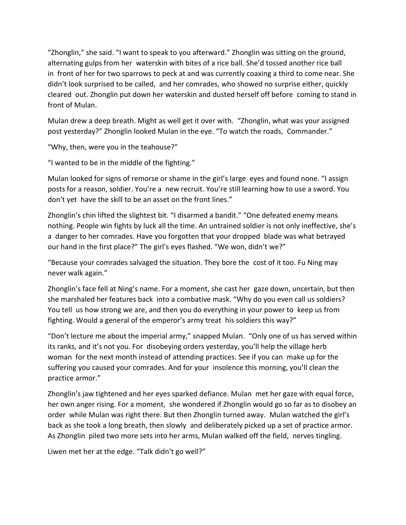"Zhonglin," she said. "I want to speak to you afterward." Zhonglin was sitting on the ground, alternating gulps from her waterskin with bites of a rice ball. She'd tossed another rice ball in front of her for two sparrows to peck at and was currently coaxing a third to come near. She didn't look surprised to be called, and her comrades, who showed no surprise either, quickly cleared out. Zhonglin put down her waterskin and dusted herself off before coming to stand in front of Mulan.

Mulan drew a deep breath. Might as well get it over with. "Zhonglin, what was your assigned post yesterday?" Zhonglin looked Mulan in the eye. "To watch the roads, Commander."

"Why, then, were you in the teahouse?"

"I wanted to be in the middle of the fighting."

Mulan looked for signs of remorse or shame in the girl's large eyes and found none. "I assign posts for a reason, soldier. You're a new recruit. You're still learning how to use a sword. You don't yet have the skill to be an asset on the front lines."

Zhonglin's chin lifted the slightest bit. "I disarmed a bandit." "One defeated enemy means nothing. People win fights by luck all the time. An untrained soldier is not only ineffective, she's a danger to her comrades. Have you forgotten that your dropped blade was what betrayed our hand in the first place?" The girl's eyes flashed. "We won, didn't we?"

"Because your comrades salvaged the situation. They bore the cost of it too. Fu Ning may never walk again."

Zhonglin's face fell at Ning's name. For a moment, she cast her gaze down, uncertain, but then she marshaled her features back into a combative mask. "Why do you even call us soldiers? You tell us how strong we are, and then you do everything in your power to keep us from fighting. Would a general of the emperor's army treat his soldiers this way?"

"Don't lecture me about the imperial army," snapped Mulan. "Only one of us has served within its ranks, and it's not you. For disobeying orders yesterday, you'll help the village herb woman for the next month instead of attending practices. See if you can make up for the suffering you caused your comrades. And for your insolence this morning, you'll clean the practice armor."

Zhonglin's jaw tightened and her eyes sparked defiance. Mulan met her gaze with equal force, her own anger rising. For a moment, she wondered if Zhonglin would go so far as to disobey an order while Mulan was right there. But then Zhonglin turned away. Mulan watched the girl's back as she took a long breath, then slowly and deliberately picked up a set of practice armor. As Zhonglin piled two more sets into her arms, Mulan walked off the field, nerves tingling.

Liwen met her at the edge. "Talk didn't go well?"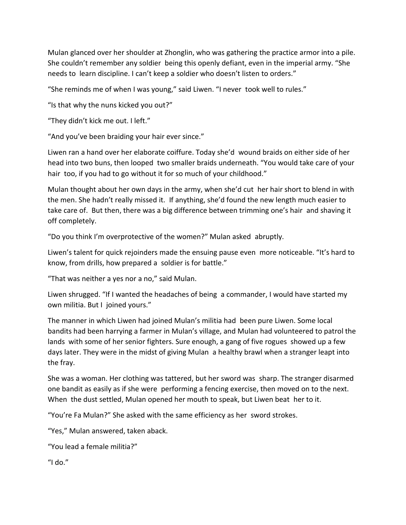Mulan glanced over her shoulder at Zhonglin, who was gathering the practice armor into a pile. She couldn't remember any soldier being this openly defiant, even in the imperial army. "She needs to learn discipline. I can't keep a soldier who doesn't listen to orders."

"She reminds me of when I was young," said Liwen. "I never took well to rules."

"Is that why the nuns kicked you out?"

"They didn't kick me out. I left."

"And you've been braiding your hair ever since."

Liwen ran a hand over her elaborate coiffure. Today she'd wound braids on either side of her head into two buns, then looped two smaller braids underneath. "You would take care of your hair too, if you had to go without it for so much of your childhood."

Mulan thought about her own days in the army, when she'd cut her hair short to blend in with the men. She hadn't really missed it. If anything, she'd found the new length much easier to take care of. But then, there was a big difference between trimming one's hair and shaving it off completely.

"Do you think I'm overprotective of the women?" Mulan asked abruptly.

Liwen's talent for quick rejoinders made the ensuing pause even more noticeable. "It's hard to know, from drills, how prepared a soldier is for battle."

"That was neither a yes nor a no," said Mulan.

Liwen shrugged. "If I wanted the headaches of being a commander, I would have started my own militia. But I joined yours."

The manner in which Liwen had joined Mulan's militia had been pure Liwen. Some local bandits had been harrying a farmer in Mulan's village, and Mulan had volunteered to patrol the lands with some of her senior fighters. Sure enough, a gang of five rogues showed up a few days later. They were in the midst of giving Mulan a healthy brawl when a stranger leapt into the fray.

She was a woman. Her clothing was tattered, but her sword was sharp. The stranger disarmed one bandit as easily as if she were performing a fencing exercise, then moved on to the next. When the dust settled, Mulan opened her mouth to speak, but Liwen beat her to it.

"You're Fa Mulan?" She asked with the same efficiency as her sword strokes.

"Yes," Mulan answered, taken aback.

"You lead a female militia?"

"I do."